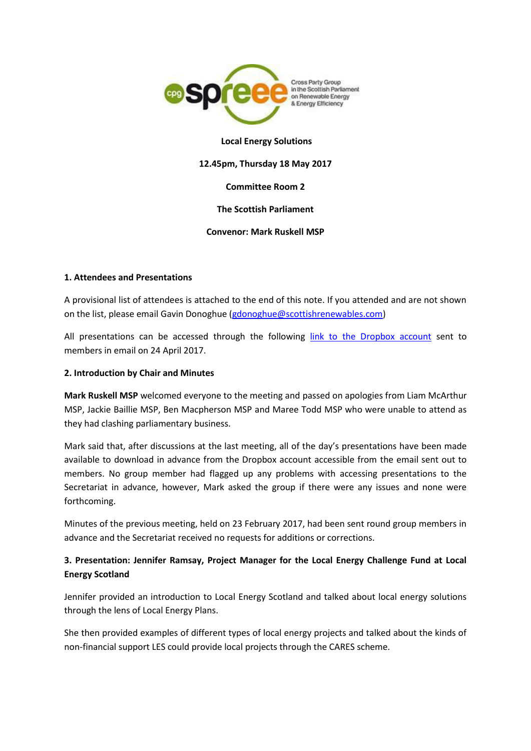

## **Local Energy Solutions**

#### **12.45pm, Thursday 18 May 2017**

#### **Committee Room 2**

## **The Scottish Parliament**

### **Convenor: Mark Ruskell MSP**

### **1. Attendees and Presentations**

A provisional list of attendees is attached to the end of this note. If you attended and are not shown on the list, please email Gavin Donoghue [\(gdonoghue@scottishrenewables.com\)](mailto:gdonoghue@scottishrenewables.com)

All presentations can be accessed through the following [link to the Dropbox account](https://www.dropbox.com/sh/0s5bjhqwd5r4ioi/AAAu7zkFRIz3RTv4D7fHTKHfa?dl=0) sent to members in email on 24 April 2017.

## **2. Introduction by Chair and Minutes**

**Mark Ruskell MSP** welcomed everyone to the meeting and passed on apologies from Liam McArthur MSP, Jackie Baillie MSP, Ben Macpherson MSP and Maree Todd MSP who were unable to attend as they had clashing parliamentary business.

Mark said that, after discussions at the last meeting, all of the day's presentations have been made available to download in advance from the Dropbox account accessible from the email sent out to members. No group member had flagged up any problems with accessing presentations to the Secretariat in advance, however, Mark asked the group if there were any issues and none were forthcoming.

Minutes of the previous meeting, held on 23 February 2017, had been sent round group members in advance and the Secretariat received no requests for additions or corrections.

## **3. Presentation: Jennifer Ramsay, Project Manager for the Local Energy Challenge Fund at Local Energy Scotland**

Jennifer provided an introduction to Local Energy Scotland and talked about local energy solutions through the lens of Local Energy Plans.

She then provided examples of different types of local energy projects and talked about the kinds of non-financial support LES could provide local projects through the CARES scheme.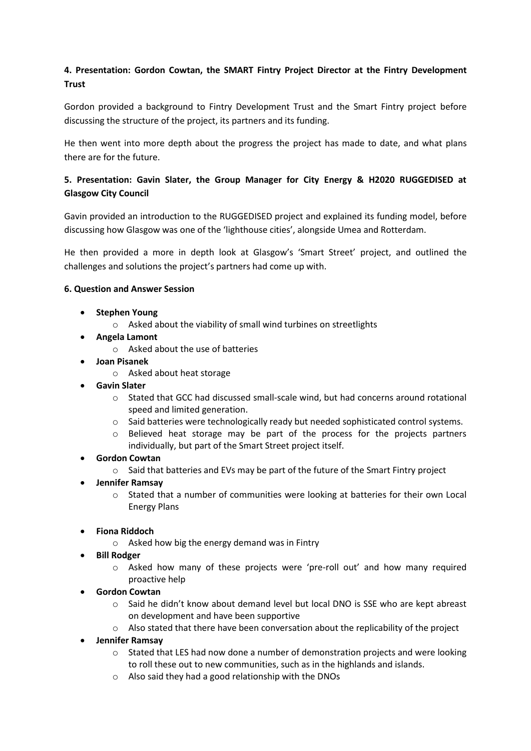# **4. Presentation: Gordon Cowtan, the SMART Fintry Project Director at the Fintry Development Trust**

Gordon provided a background to Fintry Development Trust and the Smart Fintry project before discussing the structure of the project, its partners and its funding.

He then went into more depth about the progress the project has made to date, and what plans there are for the future.

## **5. Presentation: Gavin Slater, the Group Manager for City Energy & H2020 RUGGEDISED at Glasgow City Council**

Gavin provided an introduction to the RUGGEDISED project and explained its funding model, before discussing how Glasgow was one of the 'lighthouse cities', alongside Umea and Rotterdam.

He then provided a more in depth look at Glasgow's 'Smart Street' project, and outlined the challenges and solutions the project's partners had come up with.

## **6. Question and Answer Session**

- **•** Stephen Young
	- o Asked about the viability of small wind turbines on streetlights
- **Angela Lamont**
	- o Asked about the use of batteries
- **Joan Pisanek**
	- o Asked about heat storage
- **Gavin Slater**
	- o Stated that GCC had discussed small-scale wind, but had concerns around rotational speed and limited generation.
	- $\circ$  Said batteries were technologically ready but needed sophisticated control systems.
	- $\circ$  Believed heat storage may be part of the process for the projects partners individually, but part of the Smart Street project itself.

### **Gordon Cowtan**

- $\circ$  Said that batteries and EVs may be part of the future of the Smart Fintry project
- **Jennifer Ramsay**
	- $\circ$  Stated that a number of communities were looking at batteries for their own Local Energy Plans
- **Fiona Riddoch**
	- o Asked how big the energy demand was in Fintry
- **Bill Rodger**
	- o Asked how many of these projects were 'pre-roll out' and how many required proactive help
- **Gordon Cowtan**
	- o Said he didn't know about demand level but local DNO is SSE who are kept abreast on development and have been supportive
	- o Also stated that there have been conversation about the replicability of the project
- **Jennifer Ramsay**
	- $\circ$  Stated that LES had now done a number of demonstration projects and were looking to roll these out to new communities, such as in the highlands and islands.
	- o Also said they had a good relationship with the DNOs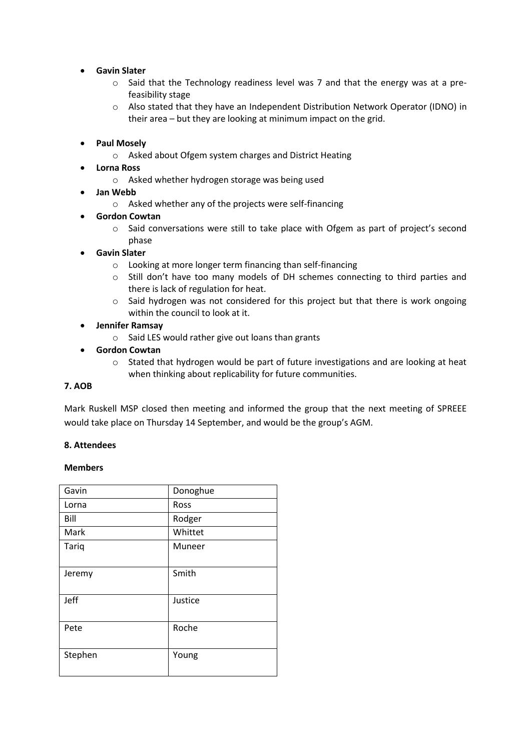## **Gavin Slater**

- o Said that the Technology readiness level was 7 and that the energy was at a prefeasibility stage
- o Also stated that they have an Independent Distribution Network Operator (IDNO) in their area – but they are looking at minimum impact on the grid.

## **Paul Mosely**

- o Asked about Ofgem system charges and District Heating
- **Lorna Ross**
	- o Asked whether hydrogen storage was being used
- **Jan Webb**
	- o Asked whether any of the projects were self-financing

### **Gordon Cowtan**

o Said conversations were still to take place with Ofgem as part of project's second phase

## **Gavin Slater**

- o Looking at more longer term financing than self-financing
- o Still don't have too many models of DH schemes connecting to third parties and there is lack of regulation for heat.
- $\circ$  Said hydrogen was not considered for this project but that there is work ongoing within the council to look at it.

## **Jennifer Ramsay**

o Said LES would rather give out loans than grants

## **Gordon Cowtan**

o Stated that hydrogen would be part of future investigations and are looking at heat when thinking about replicability for future communities.

### **7. AOB**

Mark Ruskell MSP closed then meeting and informed the group that the next meeting of SPREEE would take place on Thursday 14 September, and would be the group's AGM.

### **8. Attendees**

### **Members**

| Gavin   | Donoghue |
|---------|----------|
| Lorna   | Ross     |
| Bill    | Rodger   |
| Mark    | Whittet  |
| Tariq   | Muneer   |
| Jeremy  | Smith    |
| Jeff    | Justice  |
| Pete    | Roche    |
| Stephen | Young    |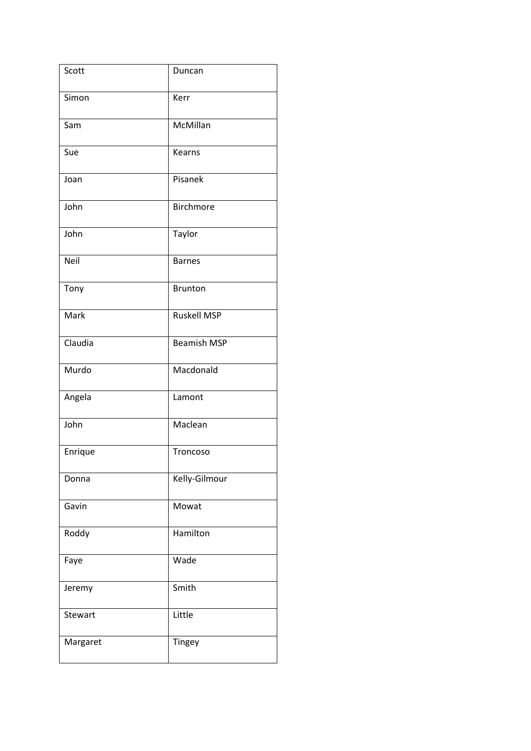| Scott    | Duncan             |
|----------|--------------------|
| Simon    | Kerr               |
| Sam      | McMillan           |
| Sue      | Kearns             |
| Joan     | Pisanek            |
| John     | <b>Birchmore</b>   |
| John     | Taylor             |
| Neil     | <b>Barnes</b>      |
| Tony     | <b>Brunton</b>     |
| Mark     | <b>Ruskell MSP</b> |
| Claudia  | <b>Beamish MSP</b> |
| Murdo    | Macdonald          |
| Angela   | Lamont             |
| John     | Maclean            |
| Enrique  | Troncoso           |
| Donna    | Kelly-Gilmour      |
| Gavin    | Mowat              |
| Roddy    | Hamilton           |
| Faye     | Wade               |
| Jeremy   | Smith              |
| Stewart  | Little             |
| Margaret | Tingey             |